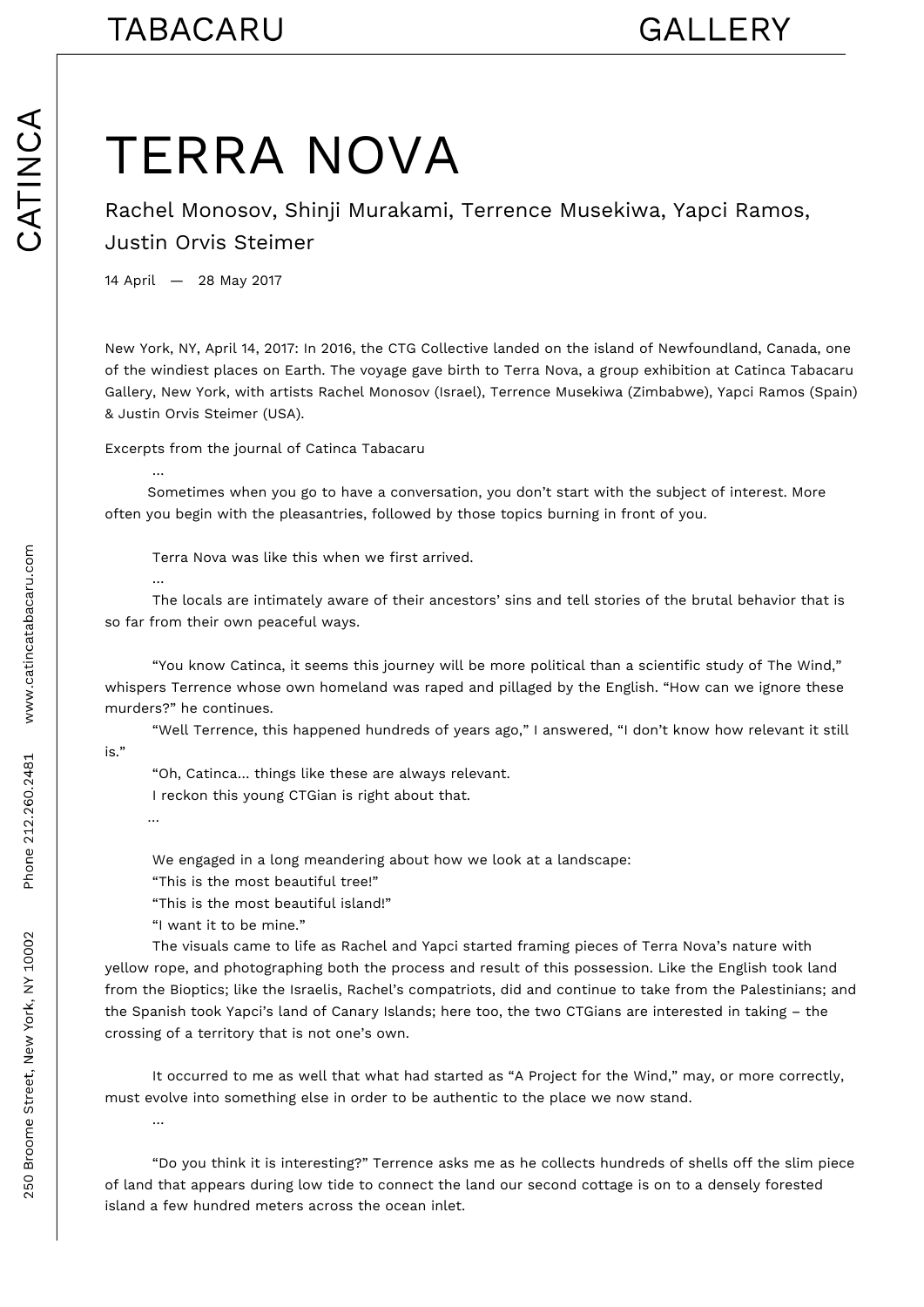## TERRA NOVA

Rachel Monosov, Shinji Murakami, Terrence Musekiwa, Yapci Ramos, Justin Orvis Steimer

14 April — 28 May 2017

New York, NY, April 14, 2017: In 2016, the CTG Collective landed on the island of Newfoundland, Canada, one of the windiest places on Earth. The voyage gave birth to Terra Nova, a group exhibition at Catinca Tabacaru Gallery, New York, with artists Rachel Monosov (Israel), Terrence Musekiwa (Zimbabwe), Yapci Ramos (Spain) & Justin Orvis Steimer (USA).

Excerpts from the journal of Catinca Tabacaru

 Sometimes when you go to have a conversation, you don't start with the subject of interest. More often you begin with the pleasantries, followed by those topics burning in front of you.

Terra Nova was like this when we first arrived.

 The locals are intimately aware of their ancestors' sins and tell stories of the brutal behavior that is so far from their own peaceful ways.

 "You know Catinca, it seems this journey will be more political than a scientific study of The Wind," whispers Terrence whose own homeland was raped and pillaged by the English. "How can we ignore these murders?" he continues.

 "Well Terrence, this happened hundreds of years ago," I answered, "I don't know how relevant it still is."

 "Oh, Catinca… things like these are always relevant. I reckon this young CTGian is right about that.

…

…

…

…

We engaged in a long meandering about how we look at a landscape:

"This is the most beautiful tree!"

"This is the most beautiful island!"

"I want it to be mine."

 The visuals came to life as Rachel and Yapci started framing pieces of Terra Nova's nature with yellow rope, and photographing both the process and result of this possession. Like the English took land from the Bioptics; like the Israelis, Rachel's compatriots, did and continue to take from the Palestinians; and the Spanish took Yapci's land of Canary Islands; here too, the two CTGians are interested in taking – the crossing of a territory that is not one's own.

 It occurred to me as well that what had started as "A Project for the Wind," may, or more correctly, must evolve into something else in order to be authentic to the place we now stand.

 "Do you think it is interesting?" Terrence asks me as he collects hundreds of shells off the slim piece of land that appears during low tide to connect the land our second cottage is on to a densely forested island a few hundred meters across the ocean inlet.